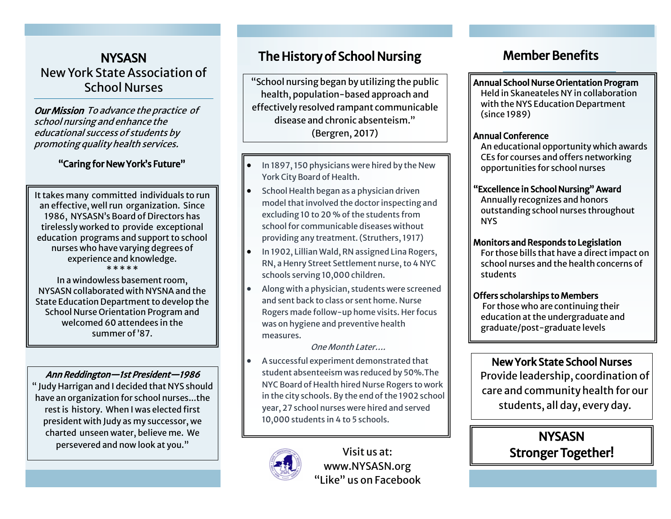## **NYSASN** New York State Association of School Nurses

Our Mission To advance the practice of school nursing and enhance the educational success of students by promoting quality health services.

## "Caring for New York's Future"

It takes many committed individuals to run an effective, well run organization. Since 1986, NYSASN's Board of Directors has tirelessly worked to provide exceptional education programs and support to school nurses who have varying degrees of experience and knowledge. \* \* \* \* \*

In a windowless basement room, NYSASN collaborated with NYSNA and the State Education Department to develop the School Nurse Orientation Program and welcomed 60 attendees in the summer of '87.

### Ann Reddington—1st President—1986

" Judy Harrigan and I decided that NYS should have an organization for school nurses...the rest is history. When I was elected first president with Judy as my successor, we charted unseen water, believe me. We persevered and now look at you."

# The History of School Nursing

"School nursing began by utilizing the public health, population-based approach and effectively resolved rampant communicable disease and chronic absenteism." (Bergren, 2017)

- In 1897, 150 physicians were hired by the New York City Board of Health.
- School Health began as a physician driven model that involved the doctor inspecting and excluding 10 to 20 % of the students from school for communicable diseases without providing any treatment. (Struthers, 1917)
- In 1902, Lillian Wald, RN assigned Lina Rogers, RN, a Henry Street Settlement nurse, to 4 NYC schools serving 10,000 children.
- Along with a physician, students were screened and sent back to class or sent home. Nurse Rogers made follow-up home visits. Her focus was on hygiene and preventive health measures.

One Month Later….

• A successful experiment demonstrated that student absenteeism was reduced by 50%.The NYC Board of Health hired Nurse Rogers to work in the city schools. By the end of the 1902 school year, 27 school nurses were hired and served 10,000 students in 4 to 5 schools.



Visit us at: www.NYSASN.org "Like" us on Facebook

# Member Benefits

Annual School Nurse Orientation Program

Held in Skaneateles NY in collaboration with the NYS Education Department (since 1989)

### Annual Conference

 An educational opportunity which awards CEs for courses and offers networking opportunities for school nurses

### "Excellence in School Nursing" Award

Annually recognizes and honors outstanding school nurses throughout NYS

### Monitors and Responds to Legislation

For those bills that have a direct impact on school nurses and the health concerns of students

### Offers scholarships to Members

 For those who are continuing their education at the undergraduate and graduate/post-graduate levels

## New York State School Nurses

Provide leadership, coordination of care and community health for our students, all day, every day.

> **NYSASN** Stronger Together!